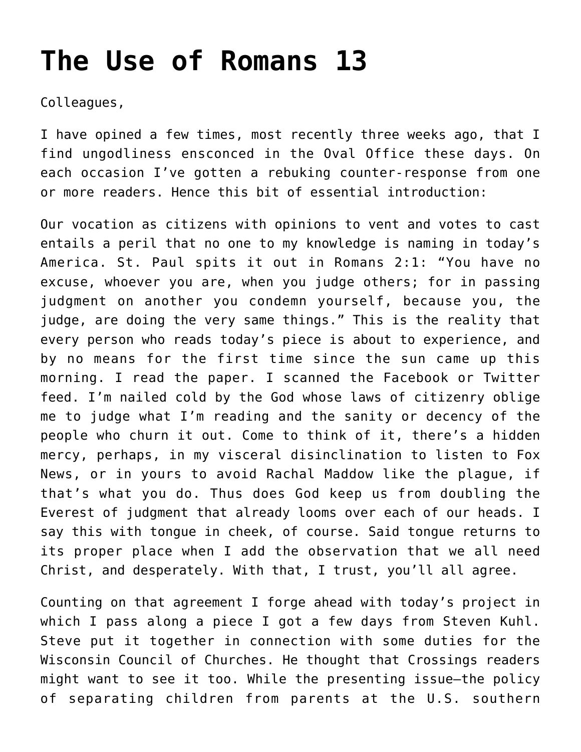## **[The Use of Romans 13](https://crossings.org/the-use-of-romans-13/)**

Colleagues,

I have opined a few times, most recently three weeks ago, that I find ungodliness ensconced in the Oval Office these days. On each occasion I've gotten a rebuking counter-response from one or more readers. Hence this bit of essential introduction:

Our vocation as citizens with opinions to vent and votes to cast entails a peril that no one to my knowledge is naming in today's America. St. Paul spits it out in Romans 2:1: "You have no excuse, whoever you are, when you judge others; for in passing judgment on another you condemn yourself, because you, the judge, are doing the very same things." This is the reality that every person who reads today's piece is about to experience, and by no means for the first time since the sun came up this morning. I read the paper. I scanned the Facebook or Twitter feed. I'm nailed cold by the God whose laws of citizenry oblige me to judge what I'm reading and the sanity or decency of the people who churn it out. Come to think of it, there's a hidden mercy, perhaps, in my visceral disinclination to listen to Fox News, or in yours to avoid Rachal Maddow like the plague, if that's what you do. Thus does God keep us from doubling the Everest of judgment that already looms over each of our heads. I say this with tongue in cheek, of course. Said tongue returns to its proper place when I add the observation that we all need Christ, and desperately. With that, I trust, you'll all agree.

Counting on that agreement I forge ahead with today's project in which I pass along a piece I got a few days from Steven Kuhl. Steve put it together in connection with some duties for the Wisconsin Council of Churches. He thought that Crossings readers might want to see it too. While the presenting issue—the policy of separating children from parents at the U.S. southern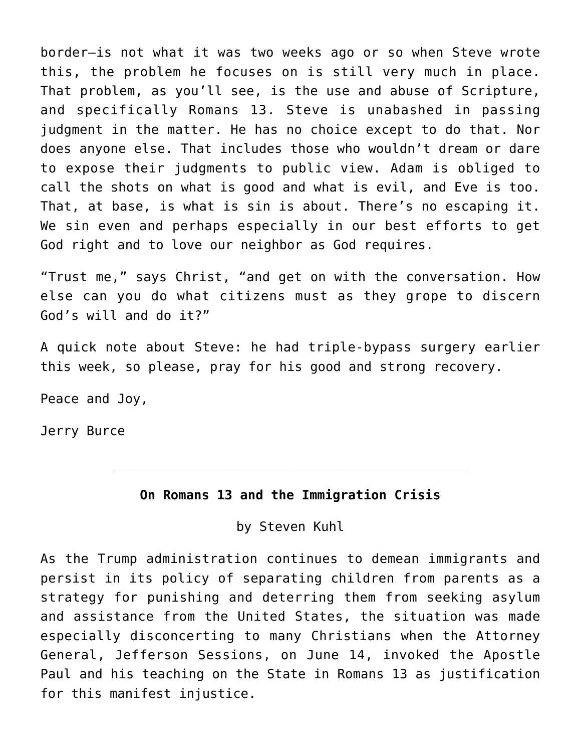border—is not what it was two weeks ago or so when Steve wrote this, the problem he focuses on is still very much in place. That problem, as you'll see, is the use and abuse of Scripture, and specifically Romans 13. Steve is unabashed in passing judgment in the matter. He has no choice except to do that. Nor does anyone else. That includes those who wouldn't dream or dare to expose their judgments to public view. Adam is obliged to call the shots on what is good and what is evil, and Eve is too. That, at base, is what is sin is about. There's no escaping it. We sin even and perhaps especially in our best efforts to get God right and to love our neighbor as God requires.

"Trust me," says Christ, "and get on with the conversation. How else can you do what citizens must as they grope to discern God's will and do it?"

A quick note about Steve: he had triple-bypass surgery earlier this week, so please, pray for his good and strong recovery.

Peace and Joy,

Jerry Burce

## **On Romans 13 and the Immigration Crisis**

\_\_\_\_\_\_\_\_\_\_\_\_\_\_\_\_\_\_\_\_\_\_\_\_\_\_\_\_\_\_\_\_\_\_\_\_\_\_\_\_\_\_\_\_\_\_

by Steven Kuhl

As the Trump administration continues to demean immigrants and persist in its policy of separating children from parents as a strategy for punishing and deterring them from seeking asylum and assistance from the United States, the situation was made especially disconcerting to many Christians when the Attorney General, Jefferson Sessions, on June 14, invoked the Apostle Paul and his teaching on the State in Romans 13 as justification for this manifest injustice.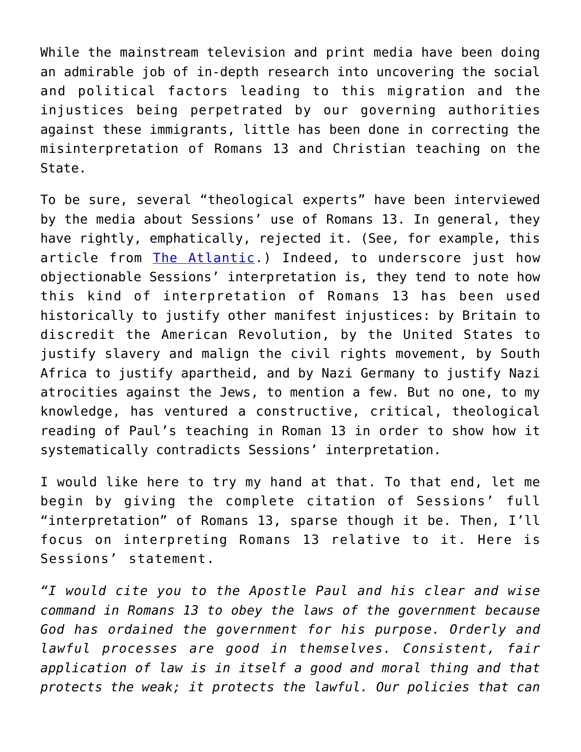While the mainstream television and print media have been doing an admirable job of in-depth research into uncovering the social and political factors leading to this migration and the injustices being perpetrated by our governing authorities against these immigrants, little has been done in correcting the misinterpretation of Romans 13 and Christian teaching on the State.

To be sure, several "theological experts" have been interviewed by the media about Sessions' use of Romans 13. In general, they have rightly, emphatically, rejected it. (See, for example, this article from [The Atlantic](https://www.theatlantic.com/politics/archive/2018/06/romans-13/562916/).) Indeed, to underscore just how objectionable Sessions' interpretation is, they tend to note how this kind of interpretation of Romans 13 has been used historically to justify other manifest injustices: by Britain to discredit the American Revolution, by the United States to justify slavery and malign the civil rights movement, by South Africa to justify apartheid, and by Nazi Germany to justify Nazi atrocities against the Jews, to mention a few. But no one, to my knowledge, has ventured a constructive, critical, theological reading of Paul's teaching in Roman 13 in order to show how it systematically contradicts Sessions' interpretation.

I would like here to try my hand at that. To that end, let me begin by giving the complete citation of Sessions' full "interpretation" of Romans 13, sparse though it be. Then, I'll focus on interpreting Romans 13 relative to it. Here is Sessions' statement.

*"I would cite you to the Apostle Paul and his clear and wise command in Romans 13 to obey the laws of the government because God has ordained the government for his purpose. Orderly and lawful processes are good in themselves. Consistent, fair application of law is in itself a good and moral thing and that protects the weak; it protects the lawful. Our policies that can*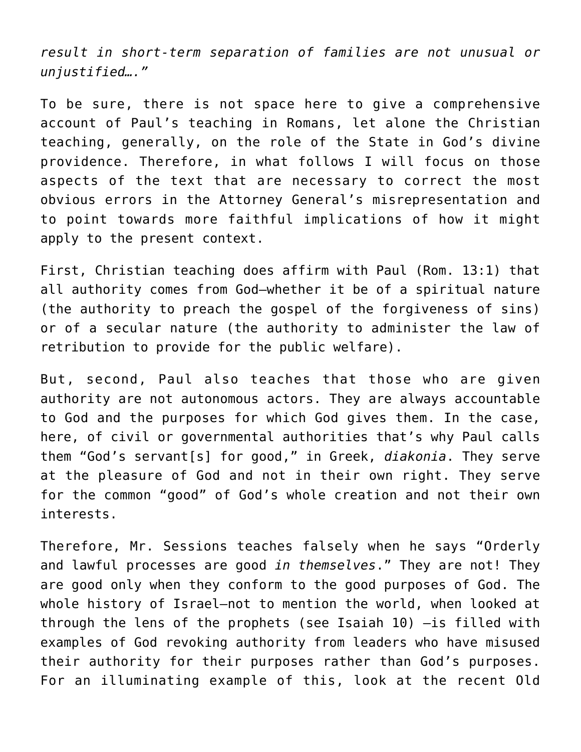*result in short-term separation of families are not unusual or unjustified…."*

To be sure, there is not space here to give a comprehensive account of Paul's teaching in Romans, let alone the Christian teaching, generally, on the role of the State in God's divine providence. Therefore, in what follows I will focus on those aspects of the text that are necessary to correct the most obvious errors in the Attorney General's misrepresentation and to point towards more faithful implications of how it might apply to the present context.

First, Christian teaching does affirm with Paul (Rom. 13:1) that all authority comes from God—whether it be of a spiritual nature (the authority to preach the gospel of the forgiveness of sins) or of a secular nature (the authority to administer the law of retribution to provide for the public welfare).

But, second, Paul also teaches that those who are given authority are not autonomous actors. They are always accountable to God and the purposes for which God gives them. In the case, here, of civil or governmental authorities that's why Paul calls them "God's servant[s] for good," in Greek, *diakonia*. They serve at the pleasure of God and not in their own right. They serve for the common "good" of God's whole creation and not their own interests.

Therefore, Mr. Sessions teaches falsely when he says "Orderly and lawful processes are good *in themselves*." They are not! They are good only when they conform to the good purposes of God. The whole history of Israel—not to mention the world, when looked at through the lens of the prophets (see Isaiah 10) —is filled with examples of God revoking authority from leaders who have misused their authority for their purposes rather than God's purposes. For an illuminating example of this, look at the recent Old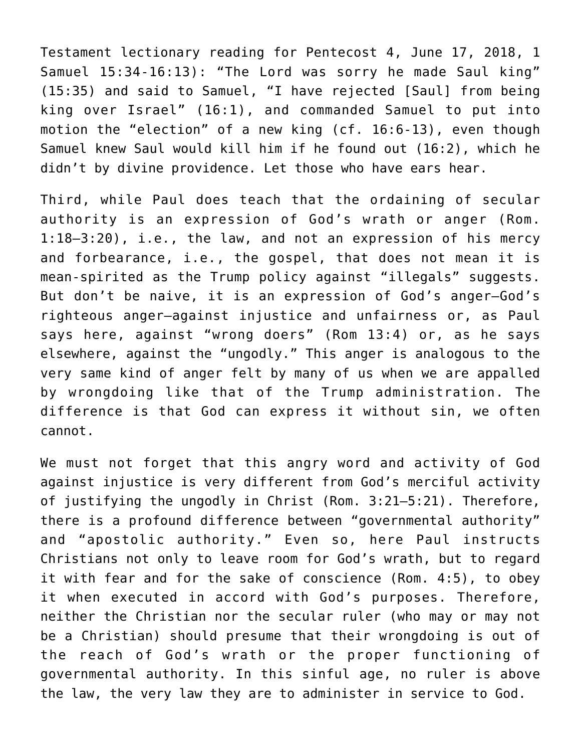Testament lectionary reading for Pentecost 4, June 17, 2018, 1 Samuel 15:34-16:13): "The Lord was sorry he made Saul king" (15:35) and said to Samuel, "I have rejected [Saul] from being king over Israel" (16:1), and commanded Samuel to put into motion the "election" of a new king (cf. 16:6-13), even though Samuel knew Saul would kill him if he found out (16:2), which he didn't by divine providence. Let those who have ears hear.

Third, while Paul does teach that the ordaining of secular authority is an expression of God's wrath or anger (Rom. 1:18—3:20), i.e., the law, and not an expression of his mercy and forbearance, i.e., the gospel, that does not mean it is mean-spirited as the Trump policy against "illegals" suggests. But don't be naive, it is an expression of God's anger—God's righteous anger—against injustice and unfairness or, as Paul says here, against "wrong doers" (Rom 13:4) or, as he says elsewhere, against the "ungodly." This anger is analogous to the very same kind of anger felt by many of us when we are appalled by wrongdoing like that of the Trump administration. The difference is that God can express it without sin, we often cannot.

We must not forget that this angry word and activity of God against injustice is very different from God's merciful activity of justifying the ungodly in Christ (Rom. 3:21—5:21). Therefore, there is a profound difference between "governmental authority" and "apostolic authority." Even so, here Paul instructs Christians not only to leave room for God's wrath, but to regard it with fear and for the sake of conscience (Rom. 4:5), to obey it when executed in accord with God's purposes. Therefore, neither the Christian nor the secular ruler (who may or may not be a Christian) should presume that their wrongdoing is out of the reach of God's wrath or the proper functioning of governmental authority. In this sinful age, no ruler is above the law, the very law they are to administer in service to God.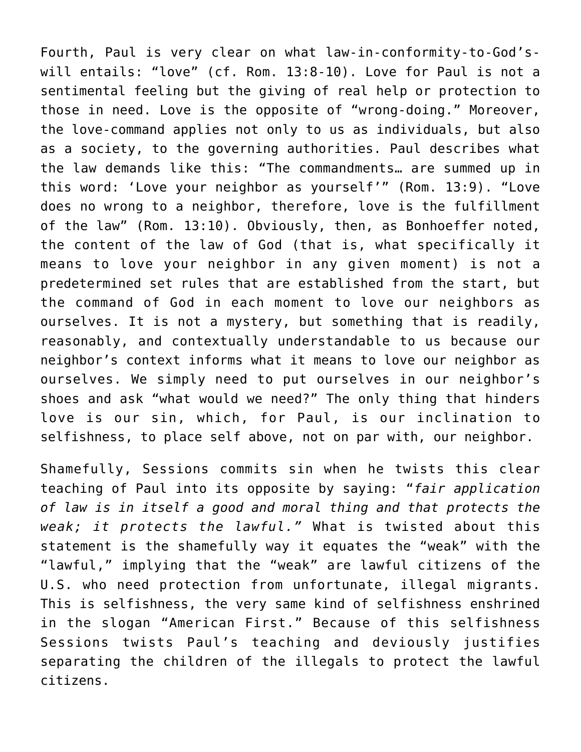Fourth, Paul is very clear on what law-in-conformity-to-God'swill entails: "love" (cf. Rom. 13:8-10). Love for Paul is not a sentimental feeling but the giving of real help or protection to those in need. Love is the opposite of "wrong-doing." Moreover, the love-command applies not only to us as individuals, but also as a society, to the governing authorities. Paul describes what the law demands like this: "The commandments… are summed up in this word: 'Love your neighbor as yourself'" (Rom. 13:9). "Love does no wrong to a neighbor, therefore, love is the fulfillment of the law" (Rom. 13:10). Obviously, then, as Bonhoeffer noted, the content of the law of God (that is, what specifically it means to love your neighbor in any given moment) is not a predetermined set rules that are established from the start, but the command of God in each moment to love our neighbors as ourselves. It is not a mystery, but something that is readily, reasonably, and contextually understandable to us because our neighbor's context informs what it means to love our neighbor as ourselves. We simply need to put ourselves in our neighbor's shoes and ask "what would we need?" The only thing that hinders love is our sin, which, for Paul, is our inclination to selfishness, to place self above, not on par with, our neighbor.

Shamefully, Sessions commits sin when he twists this clear teaching of Paul into its opposite by saying: "*fair application of law is in itself a good and moral thing and that protects the weak; it protects the lawful."* What is twisted about this statement is the shamefully way it equates the "weak" with the "lawful," implying that the "weak" are lawful citizens of the U.S. who need protection from unfortunate, illegal migrants. This is selfishness, the very same kind of selfishness enshrined in the slogan "American First." Because of this selfishness Sessions twists Paul's teaching and deviously justifies separating the children of the illegals to protect the lawful citizens.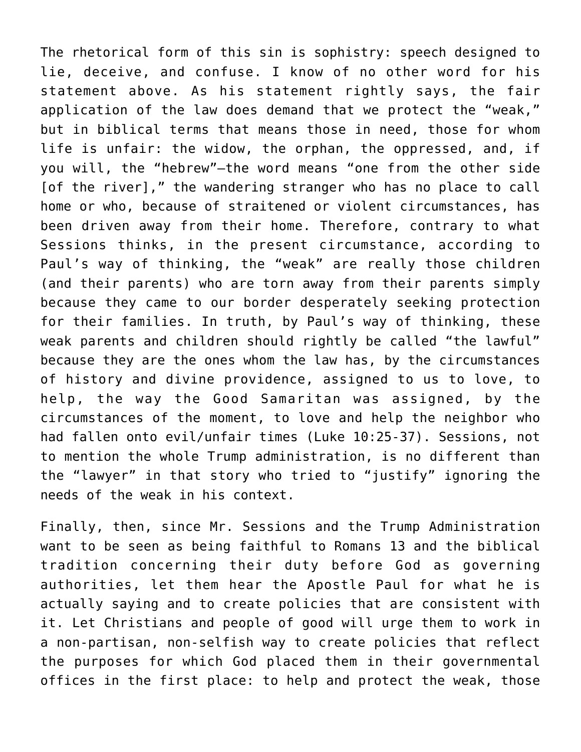The rhetorical form of this sin is sophistry: speech designed to lie, deceive, and confuse. I know of no other word for his statement above. As his statement rightly says, the fair application of the law does demand that we protect the "weak," but in biblical terms that means those in need, those for whom life is unfair: the widow, the orphan, the oppressed, and, if you will, the "hebrew"—the word means "one from the other side [of the river]," the wandering stranger who has no place to call home or who, because of straitened or violent circumstances, has been driven away from their home. Therefore, contrary to what Sessions thinks, in the present circumstance, according to Paul's way of thinking, the "weak" are really those children (and their parents) who are torn away from their parents simply because they came to our border desperately seeking protection for their families. In truth, by Paul's way of thinking, these weak parents and children should rightly be called "the lawful" because they are the ones whom the law has, by the circumstances of history and divine providence, assigned to us to love, to help, the way the Good Samaritan was assigned, by the circumstances of the moment, to love and help the neighbor who had fallen onto evil/unfair times (Luke 10:25-37). Sessions, not to mention the whole Trump administration, is no different than the "lawyer" in that story who tried to "justify" ignoring the needs of the weak in his context.

Finally, then, since Mr. Sessions and the Trump Administration want to be seen as being faithful to Romans 13 and the biblical tradition concerning their duty before God as governing authorities, let them hear the Apostle Paul for what he is actually saying and to create policies that are consistent with it. Let Christians and people of good will urge them to work in a non-partisan, non-selfish way to create policies that reflect the purposes for which God placed them in their governmental offices in the first place: to help and protect the weak, those